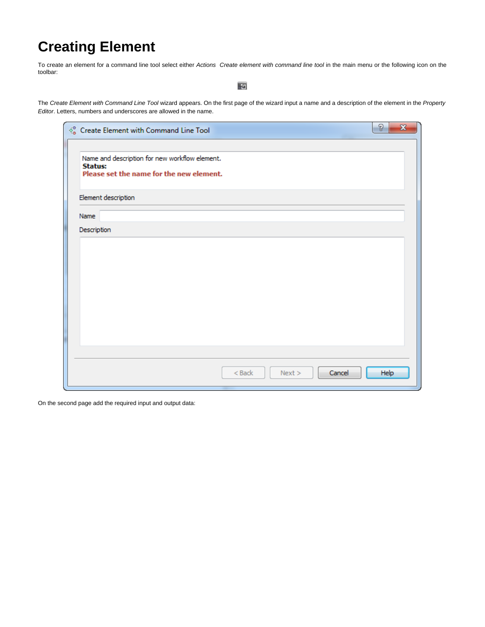## **Creating Element**

To create an element for a command line tool select either Actions Create element with command line tool in the main menu or the following icon on the toolbar:

岡

The Create Element with Command Line Tool wizard appears. On the first page of the wizard input a name and a description of the element in the [Property](http://ugene.unipro.ru/documentation/wd_manual/introduction/wd_window_components.html#term-property-editor) [Editor](http://ugene.unipro.ru/documentation/wd_manual/introduction/wd_window_components.html#term-property-editor). Letters, numbers and underscores are allowed in the name.

| $\sqrt{\frac{6}{6}}$ Create Element with Command Line Tool                                                   | P<br>$\mathbf{x}$ |
|--------------------------------------------------------------------------------------------------------------|-------------------|
| Name and description for new workflow element.<br><b>Status:</b><br>Please set the name for the new element. |                   |
| Element description                                                                                          |                   |
| Name                                                                                                         |                   |
| Description                                                                                                  |                   |
|                                                                                                              |                   |
|                                                                                                              |                   |
|                                                                                                              |                   |
|                                                                                                              |                   |
|                                                                                                              |                   |
|                                                                                                              |                   |
|                                                                                                              |                   |
| $<$ Back<br>Next ><br>Cancel                                                                                 | Help              |

On the second page add the required input and output data: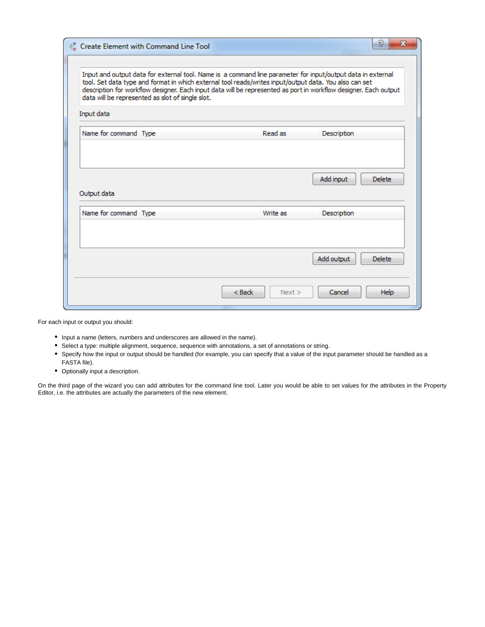|                                                                                                                                                                                                                                                                                                                                                                                               | Create Element with Command Line Tool |          | P                           |  |  |  |
|-----------------------------------------------------------------------------------------------------------------------------------------------------------------------------------------------------------------------------------------------------------------------------------------------------------------------------------------------------------------------------------------------|---------------------------------------|----------|-----------------------------|--|--|--|
| Input and output data for external tool. Name is a command line parameter for input/output data in external<br>tool. Set data type and format in which external tool reads/writes input/output data. You also can set<br>description for workflow designer. Each input data will be represented as port in workflow designer. Each output<br>data will be represented as slot of single slot. |                                       |          |                             |  |  |  |
| Input data<br>Name for command Type                                                                                                                                                                                                                                                                                                                                                           |                                       | Read as  | Description                 |  |  |  |
| Output data                                                                                                                                                                                                                                                                                                                                                                                   |                                       |          | Add input<br><b>Delete</b>  |  |  |  |
| Name for command Type                                                                                                                                                                                                                                                                                                                                                                         |                                       | Write as | Description                 |  |  |  |
|                                                                                                                                                                                                                                                                                                                                                                                               |                                       |          | Add output<br><b>Delete</b> |  |  |  |
|                                                                                                                                                                                                                                                                                                                                                                                               | < Back                                | Next     | Cancel<br><b>Help</b>       |  |  |  |

For each input or output you should:

- Input a name (letters, numbers and underscores are allowed in the name).
- Select a type: multiple alignment, sequence, sequence with annotations, a set of annotations or string.
- Specify how the input or output should be handled (for example, you can specify that a value of the input parameter should be handled as a FASTA file).
- Optionally input a description.

On the third page of the wizard you can add attributes for the command line tool. Later you would be able to set values for the attributes in the Property Editor, i.e. the attributes are actually the parameters of the new element.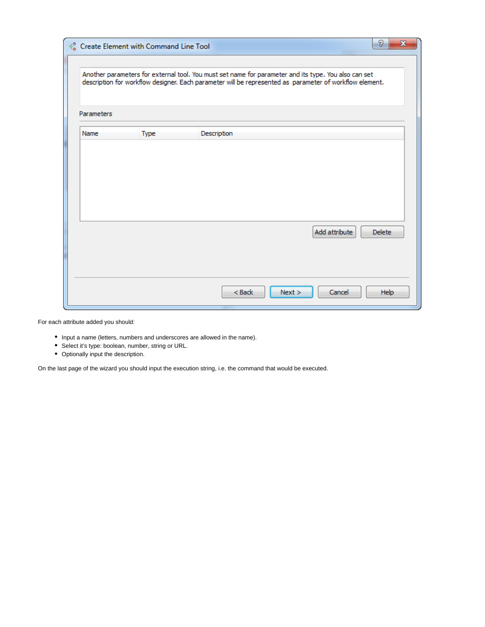|            | $\delta^0$ Create Element with Command Line Tool | P<br>X                                                                                                                                                                                                          |  |  |  |  |
|------------|--------------------------------------------------|-----------------------------------------------------------------------------------------------------------------------------------------------------------------------------------------------------------------|--|--|--|--|
|            |                                                  | Another parameters for external tool. You must set name for parameter and its type. You also can set<br>description for workflow designer. Each parameter will be represented as parameter of workflow element. |  |  |  |  |
| Parameters |                                                  |                                                                                                                                                                                                                 |  |  |  |  |
| Name       | <b>Type</b>                                      | Description                                                                                                                                                                                                     |  |  |  |  |
|            |                                                  |                                                                                                                                                                                                                 |  |  |  |  |
|            |                                                  |                                                                                                                                                                                                                 |  |  |  |  |
|            |                                                  |                                                                                                                                                                                                                 |  |  |  |  |
|            |                                                  |                                                                                                                                                                                                                 |  |  |  |  |
|            |                                                  |                                                                                                                                                                                                                 |  |  |  |  |
|            |                                                  | Add attribute<br><b>Delete</b>                                                                                                                                                                                  |  |  |  |  |
|            |                                                  |                                                                                                                                                                                                                 |  |  |  |  |
|            |                                                  |                                                                                                                                                                                                                 |  |  |  |  |
|            |                                                  | Cancel<br>$<$ Back<br>Next<br>Help                                                                                                                                                                              |  |  |  |  |

For each attribute added you should:

- Input a name (letters, numbers and underscores are allowed in the name).
- Select it's type: boolean, number, string or URL.
- Optionally input the description.

On the last page of the wizard you should input the execution string, i.e. the command that would be executed.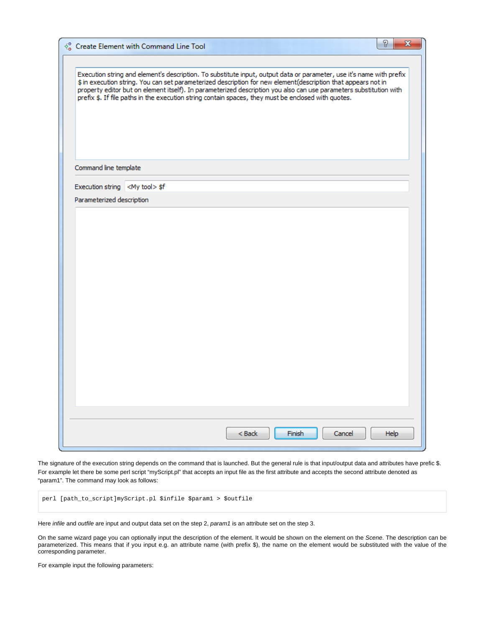|                                        | $\delta^0$ Create Element with Command Line Tool |                                                                                                                                                                                                                                                                                                                                                                                                                                                                    |  |  |
|----------------------------------------|--------------------------------------------------|--------------------------------------------------------------------------------------------------------------------------------------------------------------------------------------------------------------------------------------------------------------------------------------------------------------------------------------------------------------------------------------------------------------------------------------------------------------------|--|--|
|                                        |                                                  | Execution string and element's description. To substitute input, output data or parameter, use it's name with prefix<br>\$ in execution string. You can set parameterized description for new element(description that appears not in<br>property editor but on element itself). In parameterized description you also can use parameters substitution with<br>prefix \$. If file paths in the execution string contain spaces, they must be enclosed with quotes. |  |  |
| Command line template                  |                                                  |                                                                                                                                                                                                                                                                                                                                                                                                                                                                    |  |  |
| Execution string <my tool=""> \$f</my> |                                                  |                                                                                                                                                                                                                                                                                                                                                                                                                                                                    |  |  |
| Parameterized description              |                                                  |                                                                                                                                                                                                                                                                                                                                                                                                                                                                    |  |  |
|                                        |                                                  |                                                                                                                                                                                                                                                                                                                                                                                                                                                                    |  |  |
|                                        |                                                  |                                                                                                                                                                                                                                                                                                                                                                                                                                                                    |  |  |
|                                        |                                                  |                                                                                                                                                                                                                                                                                                                                                                                                                                                                    |  |  |
|                                        |                                                  |                                                                                                                                                                                                                                                                                                                                                                                                                                                                    |  |  |
|                                        |                                                  |                                                                                                                                                                                                                                                                                                                                                                                                                                                                    |  |  |
|                                        |                                                  |                                                                                                                                                                                                                                                                                                                                                                                                                                                                    |  |  |
|                                        |                                                  |                                                                                                                                                                                                                                                                                                                                                                                                                                                                    |  |  |

The signature of the execution string depends on the command that is launched. But the general rule is that input/output data and attributes have prefic \$. For example let there be some perl script "myScript.pl" that accepts an input file as the first attribute and accepts the second attribute denoted as "param1". The command may look as follows:

perl [path\_to\_script]myScript.pl \$infile \$param1 > \$outfile

Here infile and outfile are input and output data set on the step 2, param1 is an attribute set on the step 3.

On the same wizard page you can optionally input the description of the element. It would be shown on the element on the [Scene](http://ugene.unipro.ru/documentation/wd_manual/introduction/wd_window_components.html#term-scene). The description can be parameterized. This means that if you input e.g. an attribute name (with prefix \$), the name on the element would be substituted with the value of the corresponding parameter.

For example input the following parameters: